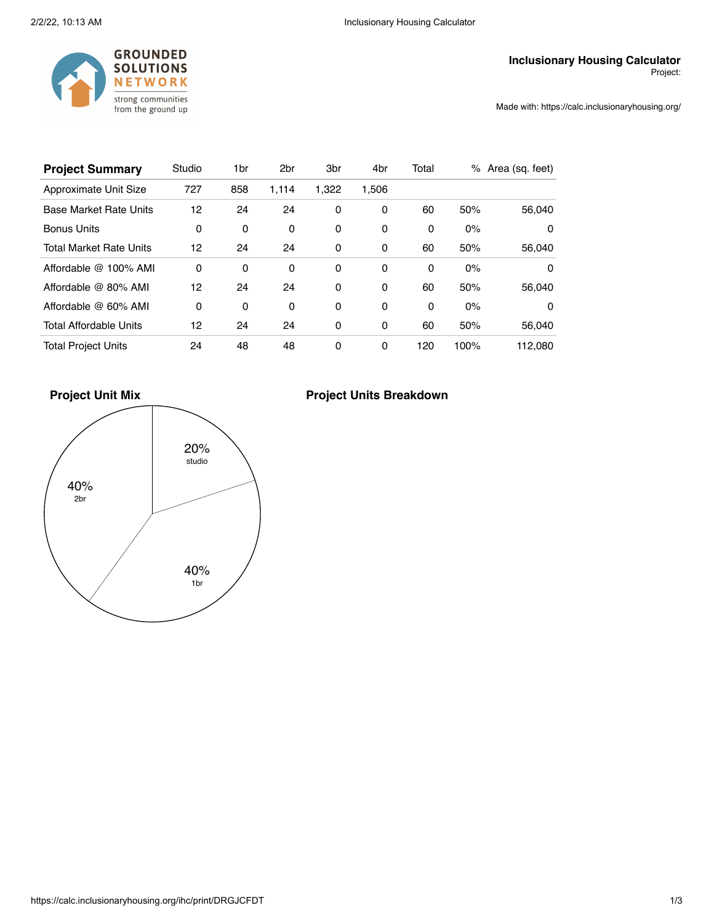

Made with: https://calc.inclusionaryhousing.org/

| <b>Project Summary</b>         | Studio | 1br | 2 <sub>br</sub> | 3 <sub>br</sub> | 4br      | Total |      | % Area (sq. feet) |
|--------------------------------|--------|-----|-----------------|-----------------|----------|-------|------|-------------------|
| Approximate Unit Size          | 727    | 858 | 1,114           | 1,322           | 1,506    |       |      |                   |
| <b>Base Market Rate Units</b>  | 12     | 24  | 24              | 0               | 0        | 60    | 50%  | 56,040            |
| <b>Bonus Units</b>             | 0      | 0   | 0               | 0               | 0        | 0     | 0%   | $\Omega$          |
| <b>Total Market Rate Units</b> | 12     | 24  | 24              | 0               | 0        | 60    | 50%  | 56,040            |
| Affordable @ 100% AMI          | 0      | 0   | 0               | 0               | 0        | 0     | 0%   | 0                 |
| Affordable @ 80% AMI           | 12     | 24  | 24              | 0               | 0        | 60    | 50%  | 56,040            |
| Affordable @ 60% AMI           | 0      | 0   | 0               | 0               | $\Omega$ | 0     | 0%   | 0                 |
| <b>Total Affordable Units</b>  | 12     | 24  | 24              | 0               | 0        | 60    | 50%  | 56,040            |
| <b>Total Project Units</b>     | 24     | 48  | 48              | 0               | 0        | 120   | 100% | 112.080           |

**Project Unit Mix**



## **Project Units Breakdown**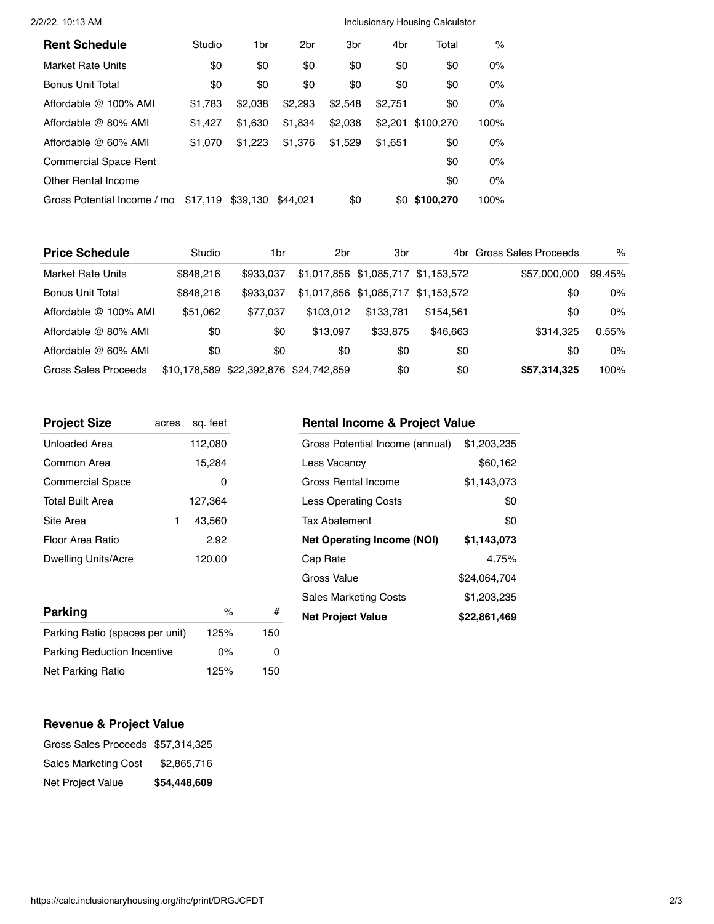## 2/2/22, 10:13 AM **Inclusionary Housing Calculator Inclusionary Housing Calculator**

| <b>Rent Schedule</b>         | Studio   | 1br      | 2 <sub>br</sub> | 3 <sub>br</sub> | 4br     | Total         | $\%$  |
|------------------------------|----------|----------|-----------------|-----------------|---------|---------------|-------|
| Market Rate Units            | \$0      | \$0      | \$0             | \$0             | \$0     | \$0           | 0%    |
| <b>Bonus Unit Total</b>      | \$0      | \$0      | \$0             | \$0             | \$0     | \$0           | 0%    |
| Affordable @ 100% AMI        | \$1,783  | \$2.038  | \$2,293         | \$2,548         | \$2.751 | \$0           | $0\%$ |
| Affordable @ 80% AMI         | \$1.427  | \$1.630  | \$1.834         | \$2,038         | \$2,201 | \$100,270     | 100%  |
| Affordable @ 60% AMI         | \$1,070  | \$1.223  | \$1,376         | \$1.529         | \$1.651 | \$0           | 0%    |
| <b>Commercial Space Rent</b> |          |          |                 |                 |         | \$0           | 0%    |
| Other Rental Income          |          |          |                 |                 |         | \$0           | 0%    |
| Gross Potential Income / mo  | \$17,119 | \$39,130 | \$44.021        | \$0             |         | \$0 \$100,270 | 100%  |

| <b>Price Schedule</b> | Studio       | 1br          | 2 <sub>br</sub> | 3 <sub>br</sub>                     |           | 4br Gross Sales Proceeds | $\%$   |
|-----------------------|--------------|--------------|-----------------|-------------------------------------|-----------|--------------------------|--------|
| Market Rate Units     | \$848.216    | \$933,037    |                 | \$1,017,856 \$1,085,717 \$1,153,572 |           | \$57,000,000             | 99.45% |
| Bonus Unit Total      | \$848,216    | \$933,037    |                 | \$1,017,856 \$1,085,717 \$1,153,572 |           | \$0                      | 0%     |
| Affordable @ 100% AMI | \$51,062     | \$77.037     | \$103.012       | \$133.781                           | \$154.561 | \$0                      | $0\%$  |
| Affordable @ 80% AMI  | \$0          | \$0          | \$13.097        | \$33,875                            | \$46,663  | \$314.325                | 0.55%  |
| Affordable @ 60% AMI  | \$0          | \$0          | \$0             | \$0                                 | \$0       | \$0                      | $0\%$  |
| Gross Sales Proceeds  | \$10.178.589 | \$22,392,876 | \$24.742.859    | \$0                                 | \$0       | \$57,314,325             | 100%   |

| <b>Project Size</b>     | acres | sq. feet |
|-------------------------|-------|----------|
| Unloaded Area           |       | 112,080  |
| Common Area             |       | 15,284   |
| <b>Commercial Space</b> |       | 0        |
| <b>Total Built Area</b> |       | 127,364  |
| Site Area               |       | 43,560   |
| Floor Area Ratio        |       | 2.92     |
| Dwelling Units/Acre     |       | 120.00   |

| <b>Parking</b>                     | $\frac{1}{2}$ |     |
|------------------------------------|---------------|-----|
| Parking Ratio (spaces per unit)    | 125%          | 150 |
| <b>Parking Reduction Incentive</b> | $0\%$         |     |
| Net Parking Ratio                  | 125%          | 150 |

## **Rental Income & Project Value**

| Gross Potential Income (annual)   | \$1,203,235  |
|-----------------------------------|--------------|
| Less Vacancv                      | \$60,162     |
| Gross Rental Income               | \$1,143,073  |
| <b>Less Operating Costs</b>       | \$0          |
| <b>Tax Abatement</b>              | \$0          |
|                                   |              |
| <b>Net Operating Income (NOI)</b> | \$1,143,073  |
| Cap Rate                          | 4.75%        |
| Gross Value                       | \$24,064,704 |
| <b>Sales Marketing Costs</b>      | \$1,203,235  |

## **Revenue & Project Value**

| Net Project Value                 | \$54,448,609 |
|-----------------------------------|--------------|
| Sales Marketing Cost              | \$2,865,716  |
| Gross Sales Proceeds \$57,314,325 |              |